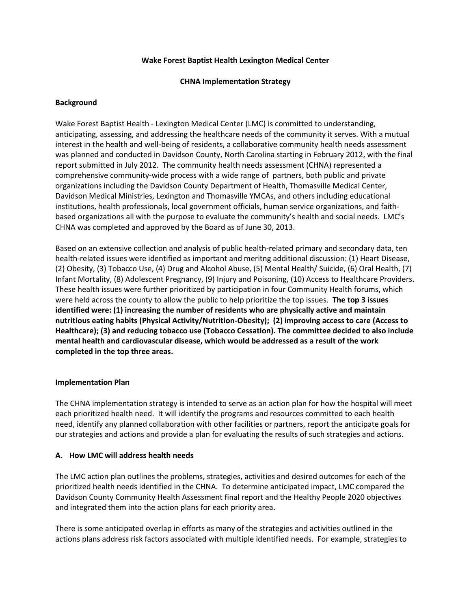### **Wake Forest Baptist Health Lexington Medical Center**

### **CHNA Implementation Strategy**

### **Background**

Wake Forest Baptist Health - Lexington Medical Center (LMC) is committed to understanding, anticipating, assessing, and addressing the healthcare needs of the community it serves. With a mutual interest in the health and well-being of residents, a collaborative community health needs assessment was planned and conducted in Davidson County, North Carolina starting in February 2012, with the final report submitted in July 2012. The community health needs assessment (CHNA) represented a comprehensive community-wide process with a wide range of partners, both public and private organizations including the Davidson County Department of Health, Thomasville Medical Center, Davidson Medical Ministries, Lexington and Thomasville YMCAs, and others including educational institutions, health professionals, local government officials, human service organizations, and faithbased organizations all with the purpose to evaluate the community's health and social needs. LMC's CHNA was completed and approved by the Board as of June 30, 2013.

Based on an extensive collection and analysis of public health-related primary and secondary data, ten health-related issues were identified as important and meritng additional discussion: (1) Heart Disease, (2) Obesity, (3) Tobacco Use, (4) Drug and Alcohol Abuse, (5) Mental Health/ Suicide, (6) Oral Health, (7) Infant Mortality, (8) Adolescent Pregnancy, (9) Injury and Poisoning, (10) Access to Healthcare Providers. These health issues were further prioritized by participation in four Community Health forums, which were held across the county to allow the public to help prioritize the top issues. **The top 3 issues identified were: (1) increasing the number of residents who are physically active and maintain nutritious eating habits (Physical Activity/Nutrition-Obesity); (2) improving access to care (Access to Healthcare); (3) and reducing tobacco use (Tobacco Cessation). The committee decided to also include mental health and cardiovascular disease, which would be addressed as a result of the work completed in the top three areas.**

# **Implementation Plan**

The CHNA implementation strategy is intended to serve as an action plan for how the hospital will meet each prioritized health need. It will identify the programs and resources committed to each health need, identify any planned collaboration with other facilities or partners, report the anticipate goals for our strategies and actions and provide a plan for evaluating the results of such strategies and actions.

# **A. How LMC will address health needs**

The LMC action plan outlines the problems, strategies, activities and desired outcomes for each of the prioritized health needs identified in the CHNA. To determine anticipated impact, LMC compared the Davidson County Community Health Assessment final report and the Healthy People 2020 objectives and integrated them into the action plans for each priority area.

There is some anticipated overlap in efforts as many of the strategies and activities outlined in the actions plans address risk factors associated with multiple identified needs. For example, strategies to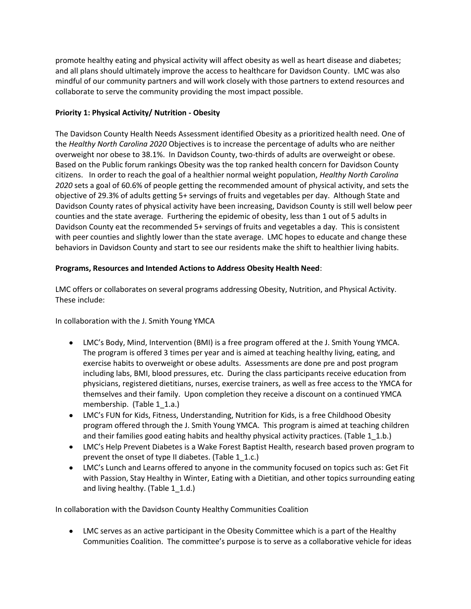promote healthy eating and physical activity will affect obesity as well as heart disease and diabetes; and all plans should ultimately improve the access to healthcare for Davidson County. LMC was also mindful of our community partners and will work closely with those partners to extend resources and collaborate to serve the community providing the most impact possible.

# **Priority 1: Physical Activity/ Nutrition - Obesity**

The Davidson County Health Needs Assessment identified Obesity as a prioritized health need. One of the *Healthy North Carolina 2020* Objectives is to increase the percentage of adults who are neither overweight nor obese to 38.1%. In Davidson County, two-thirds of adults are overweight or obese. Based on the Public forum rankings Obesity was the top ranked health concern for Davidson County citizens. In order to reach the goal of a healthier normal weight population, *Healthy North Carolina 2020* sets a goal of 60.6% of people getting the recommended amount of physical activity, and sets the objective of 29.3% of adults getting 5+ servings of fruits and vegetables per day. Although State and Davidson County rates of physical activity have been increasing, Davidson County is still well below peer counties and the state average. Furthering the epidemic of obesity, less than 1 out of 5 adults in Davidson County eat the recommended 5+ servings of fruits and vegetables a day. This is consistent with peer counties and slightly lower than the state average. LMC hopes to educate and change these behaviors in Davidson County and start to see our residents make the shift to healthier living habits.

# **Programs, Resources and Intended Actions to Address Obesity Health Need**:

LMC offers or collaborates on several programs addressing Obesity, Nutrition, and Physical Activity. These include:

In collaboration with the J. Smith Young YMCA

- LMC's Body, Mind, Intervention (BMI) is a free program offered at the J. Smith Young YMCA. The program is offered 3 times per year and is aimed at teaching healthy living, eating, and exercise habits to overweight or obese adults. Assessments are done pre and post program including labs, BMI, blood pressures, etc. During the class participants receive education from physicians, registered dietitians, nurses, exercise trainers, as well as free access to the YMCA for themselves and their family. Upon completion they receive a discount on a continued YMCA membership. (Table 1\_1.a.)
- LMC's FUN for Kids, Fitness, Understanding, Nutrition for Kids, is a free Childhood Obesity program offered through the J. Smith Young YMCA. This program is aimed at teaching children and their families good eating habits and healthy physical activity practices. (Table 1 1.b.)
- LMC's Help Prevent Diabetes is a Wake Forest Baptist Health, research based proven program to prevent the onset of type II diabetes. (Table 1\_1.c.)
- LMC's Lunch and Learns offered to anyone in the community focused on topics such as: Get Fit with Passion, Stay Healthy in Winter, Eating with a Dietitian, and other topics surrounding eating and living healthy. (Table 1\_1.d.)

In collaboration with the Davidson County Healthy Communities Coalition

LMC serves as an active participant in the Obesity Committee which is a part of the Healthy Communities Coalition. The committee's purpose is to serve as a collaborative vehicle for ideas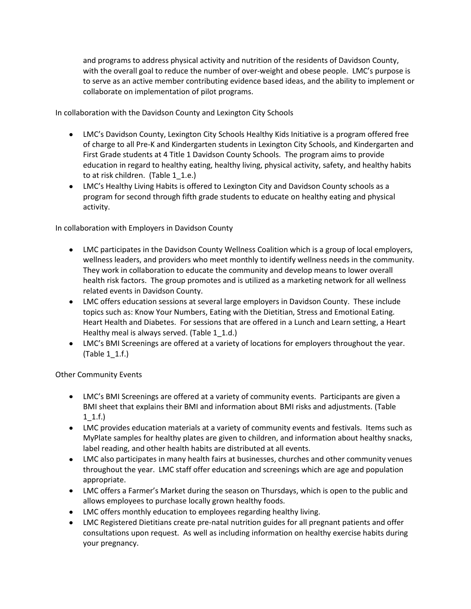and programs to address physical activity and nutrition of the residents of Davidson County, with the overall goal to reduce the number of over-weight and obese people. LMC's purpose is to serve as an active member contributing evidence based ideas, and the ability to implement or collaborate on implementation of pilot programs.

In collaboration with the Davidson County and Lexington City Schools

- LMC's Davidson County, Lexington City Schools Healthy Kids Initiative is a program offered free of charge to all Pre-K and Kindergarten students in Lexington City Schools, and Kindergarten and First Grade students at 4 Title 1 Davidson County Schools. The program aims to provide education in regard to healthy eating, healthy living, physical activity, safety, and healthy habits to at risk children. (Table 1\_1.e.)
- LMC's Healthy Living Habits is offered to Lexington City and Davidson County schools as a program for second through fifth grade students to educate on healthy eating and physical activity.

In collaboration with Employers in Davidson County

- LMC participates in the Davidson County Wellness Coalition which is a group of local employers, wellness leaders, and providers who meet monthly to identify wellness needs in the community. They work in collaboration to educate the community and develop means to lower overall health risk factors. The group promotes and is utilized as a marketing network for all wellness related events in Davidson County.
- LMC offers education sessions at several large employers in Davidson County. These include topics such as: Know Your Numbers, Eating with the Dietitian, Stress and Emotional Eating. Heart Health and Diabetes. For sessions that are offered in a Lunch and Learn setting, a Heart Healthy meal is always served. (Table 1\_1.d.)
- LMC's BMI Screenings are offered at a variety of locations for employers throughout the year. (Table 1\_1.f.)

Other Community Events

- LMC's BMI Screenings are offered at a variety of community events. Participants are given a BMI sheet that explains their BMI and information about BMI risks and adjustments. (Table 1\_1.f.)
- LMC provides education materials at a variety of community events and festivals. Items such as MyPlate samples for healthy plates are given to children, and information about healthy snacks, label reading, and other health habits are distributed at all events.
- LMC also participates in many health fairs at businesses, churches and other community venues throughout the year. LMC staff offer education and screenings which are age and population appropriate.
- LMC offers a Farmer's Market during the season on Thursdays, which is open to the public and allows employees to purchase locally grown healthy foods.
- LMC offers monthly education to employees regarding healthy living.
- LMC Registered Dietitians create pre-natal nutrition guides for all pregnant patients and offer consultations upon request. As well as including information on healthy exercise habits during your pregnancy.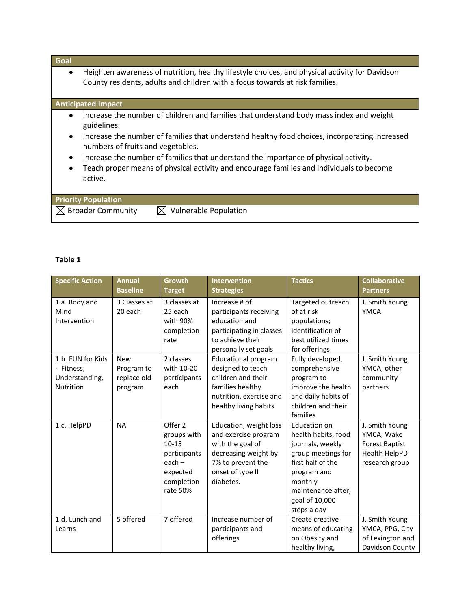### **Goal**

Heighten awareness of nutrition, healthy lifestyle choices, and physical activity for Davidson  $\bullet$ County residents, adults and children with a focus towards at risk families.

#### **Anticipated Impact**

- Increase the number of children and families that understand body mass index and weight guidelines.
- Increase the number of families that understand healthy food choices, incorporating increased numbers of fruits and vegetables.
- Increase the number of families that understand the importance of physical activity.
- Teach proper means of physical activity and encourage families and individuals to become  $\bullet$ active.

| <b>Priority Population</b>    |                                 |
|-------------------------------|---------------------------------|
| $\boxtimes$ Broader Community | $\bowtie$ Vulnerable Population |

# **Table 1**

| <b>Specific Action</b>                                                | <b>Annual</b><br><b>Baseline</b>                   | <b>Growth</b><br><b>Target</b>                                                                        | <b>Intervention</b><br><b>Strategies</b>                                                                                                         | <b>Tactics</b>                                                                                                                                                                      | <b>Collaborative</b><br><b>Partners</b>                                                  |
|-----------------------------------------------------------------------|----------------------------------------------------|-------------------------------------------------------------------------------------------------------|--------------------------------------------------------------------------------------------------------------------------------------------------|-------------------------------------------------------------------------------------------------------------------------------------------------------------------------------------|------------------------------------------------------------------------------------------|
| 1.a. Body and<br>Mind<br>Intervention                                 | 3 Classes at<br>20 each                            | 3 classes at<br>25 each<br>with 90%<br>completion<br>rate                                             | Increase # of<br>participants receiving<br>education and<br>participating in classes<br>to achieve their<br>personally set goals                 | Targeted outreach<br>of at risk<br>populations;<br>identification of<br>best utilized times<br>for offerings                                                                        | J. Smith Young<br><b>YMCA</b>                                                            |
| 1.b. FUN for Kids<br>- Fitness,<br>Understanding,<br><b>Nutrition</b> | <b>New</b><br>Program to<br>replace old<br>program | 2 classes<br>with 10-20<br>participants<br>each                                                       | <b>Educational program</b><br>designed to teach<br>children and their<br>families healthy<br>nutrition, exercise and<br>healthy living habits    | Fully developed,<br>comprehensive<br>program to<br>improve the health<br>and daily habits of<br>children and their<br>families                                                      | J. Smith Young<br>YMCA, other<br>community<br>partners                                   |
| 1.c. HelpPD                                                           | <b>NA</b>                                          | Offer 2<br>groups with<br>$10 - 15$<br>participants<br>$each -$<br>expected<br>completion<br>rate 50% | Education, weight loss<br>and exercise program<br>with the goal of<br>decreasing weight by<br>7% to prevent the<br>onset of type II<br>diabetes. | Education on<br>health habits, food<br>journals, weekly<br>group meetings for<br>first half of the<br>program and<br>monthly<br>maintenance after,<br>goal of 10,000<br>steps a day | J. Smith Young<br>YMCA; Wake<br><b>Forest Baptist</b><br>Health HelpPD<br>research group |
| 1.d. Lunch and<br>Learns                                              | 5 offered                                          | 7 offered                                                                                             | Increase number of<br>participants and<br>offerings                                                                                              | Create creative<br>means of educating<br>on Obesity and<br>healthy living,                                                                                                          | J. Smith Young<br>YMCA, PPG, City<br>of Lexington and<br>Davidson County                 |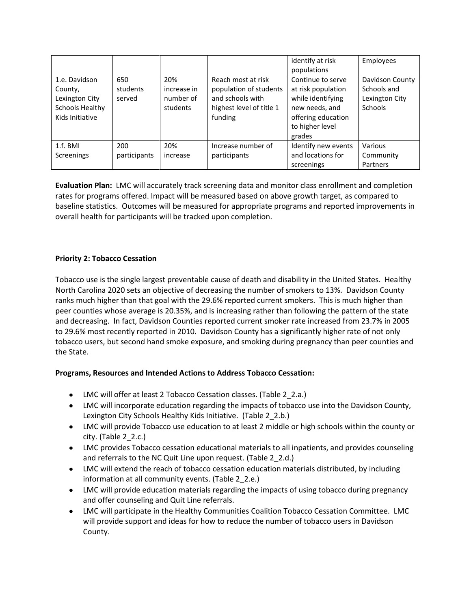|                                                                                  |                           |                                             |                                                                                                         | identify at risk<br>populations                                                                                                   | Employees                                                   |
|----------------------------------------------------------------------------------|---------------------------|---------------------------------------------|---------------------------------------------------------------------------------------------------------|-----------------------------------------------------------------------------------------------------------------------------------|-------------------------------------------------------------|
| 1.e. Davidson<br>County,<br>Lexington City<br>Schools Healthy<br>Kids Initiative | 650<br>students<br>served | 20%<br>increase in<br>number of<br>students | Reach most at risk<br>population of students<br>and schools with<br>highest level of title 1<br>funding | Continue to serve<br>at risk population<br>while identifying<br>new needs, and<br>offering education<br>to higher level<br>grades | Davidson County<br>Schools and<br>Lexington City<br>Schools |
| $1.f.$ BMI                                                                       | 200                       | 20%                                         | Increase number of                                                                                      | Identify new events                                                                                                               | Various                                                     |
| <b>Screenings</b>                                                                | participants              | increase                                    | participants                                                                                            | and locations for                                                                                                                 | Community                                                   |
|                                                                                  |                           |                                             |                                                                                                         | screenings                                                                                                                        | Partners                                                    |

**Evaluation Plan:** LMC will accurately track screening data and monitor class enrollment and completion rates for programs offered. Impact will be measured based on above growth target, as compared to baseline statistics. Outcomes will be measured for appropriate programs and reported improvements in overall health for participants will be tracked upon completion.

# **Priority 2: Tobacco Cessation**

Tobacco use is the single largest preventable cause of death and disability in the United States. Healthy North Carolina 2020 sets an objective of decreasing the number of smokers to 13%. Davidson County ranks much higher than that goal with the 29.6% reported current smokers. This is much higher than peer counties whose average is 20.35%, and is increasing rather than following the pattern of the state and decreasing. In fact, Davidson Counties reported current smoker rate increased from 23.7% in 2005 to 29.6% most recently reported in 2010. Davidson County has a significantly higher rate of not only tobacco users, but second hand smoke exposure, and smoking during pregnancy than peer counties and the State.

# **Programs, Resources and Intended Actions to Address Tobacco Cessation:**

- LMC will offer at least 2 Tobacco Cessation classes. (Table 2\_2.a.)
- LMC will incorporate education regarding the impacts of tobacco use into the Davidson County, Lexington City Schools Healthy Kids Initiative. (Table 2\_2.b.)
- LMC will provide Tobacco use education to at least 2 middle or high schools within the county or city. (Table 2\_2.c.)
- LMC provides Tobacco cessation educational materials to all inpatients, and provides counseling and referrals to the NC Quit Line upon request. (Table 2\_2.d.)
- LMC will extend the reach of tobacco cessation education materials distributed, by including information at all community events. (Table 2 2.e.)
- LMC will provide education materials regarding the impacts of using tobacco during pregnancy and offer counseling and Quit Line referrals.
- LMC will participate in the Healthy Communities Coalition Tobacco Cessation Committee. LMC will provide support and ideas for how to reduce the number of tobacco users in Davidson County.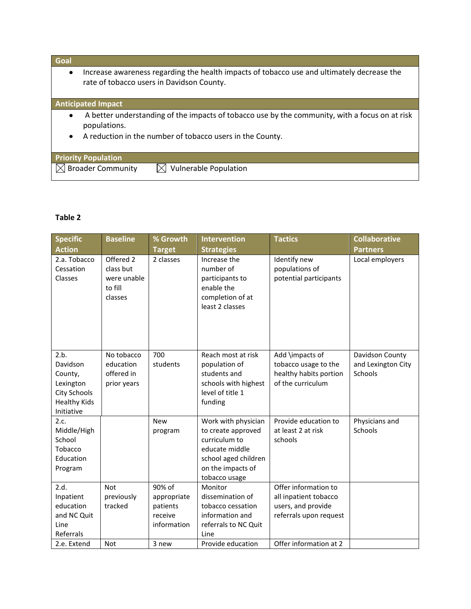# **Goal**

Increase awareness regarding the health impacts of tobacco use and ultimately decrease the  $\bullet$  . rate of tobacco users in Davidson County.

# **Anticipated Impact**

- A better understanding of the impacts of tobacco use by the community, with a focus on at risk  $\bullet$ populations.
- A reduction in the number of tobacco users in the County.

| <b>Priority Population</b>           |                                 |
|--------------------------------------|---------------------------------|
| $\mid$ $\boxtimes$ Broader Community | $\bowtie$ Vulnerable Population |

#### **Table 2**

| <b>Specific</b><br><b>Action</b>                                                              | <b>Baseline</b>                                             | % Growth<br><b>Target</b>                                   | <b>Intervention</b><br><b>Strategies</b>                                                                                                   | <b>Tactics</b>                                                                                | <b>Collaborative</b><br><b>Partners</b>          |
|-----------------------------------------------------------------------------------------------|-------------------------------------------------------------|-------------------------------------------------------------|--------------------------------------------------------------------------------------------------------------------------------------------|-----------------------------------------------------------------------------------------------|--------------------------------------------------|
| 2.a. Tobacco<br>Cessation<br>Classes                                                          | Offered 2<br>class but<br>were unable<br>to fill<br>classes | 2 classes                                                   | Increase the<br>number of<br>participants to<br>enable the<br>completion of at<br>least 2 classes                                          | Identify new<br>populations of<br>potential participants                                      | Local employers                                  |
| 2.b.<br>Davidson<br>County,<br>Lexington<br>City Schools<br><b>Healthy Kids</b><br>Initiative | No tobacco<br>education<br>offered in<br>prior years        | 700<br>students                                             | Reach most at risk<br>population of<br>students and<br>schools with highest<br>level of title 1<br>funding                                 | Add \impacts of<br>tobacco usage to the<br>healthy habits portion<br>of the curriculum        | Davidson County<br>and Lexington City<br>Schools |
| 2.c.<br>Middle/High<br>School<br>Tobacco<br>Education<br>Program                              |                                                             | <b>New</b><br>program                                       | Work with physician<br>to create approved<br>curriculum to<br>educate middle<br>school aged children<br>on the impacts of<br>tobacco usage | Provide education to<br>at least 2 at risk<br>schools                                         | Physicians and<br>Schools                        |
| 2.d.<br>Inpatient<br>education<br>and NC Quit<br>Line<br>Referrals                            | <b>Not</b><br>previously<br>tracked                         | 90% of<br>appropriate<br>patients<br>receive<br>information | Monitor<br>dissemination of<br>tobacco cessation<br>information and<br>referrals to NC Quit<br>Line                                        | Offer information to<br>all inpatient tobacco<br>users, and provide<br>referrals upon request |                                                  |
| 2.e. Extend                                                                                   | <b>Not</b>                                                  | 3 new                                                       | Provide education                                                                                                                          | Offer information at 2                                                                        |                                                  |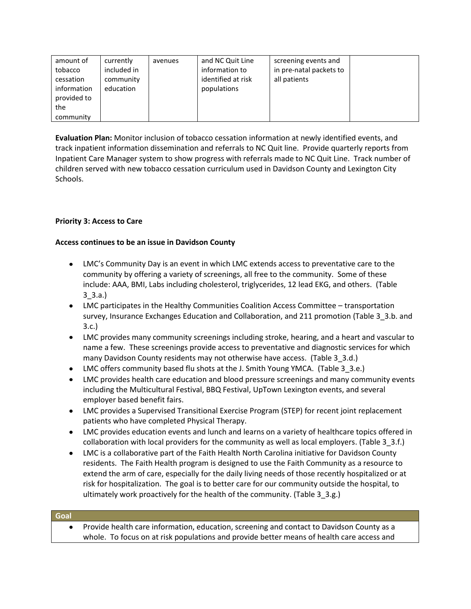| amount of<br>tobacco<br>cessation<br>information<br>provided to | currently<br>included in<br>community<br>education | avenues | and NC Quit Line<br>information to<br>identified at risk<br>populations | screening events and<br>in pre-natal packets to<br>all patients |  |
|-----------------------------------------------------------------|----------------------------------------------------|---------|-------------------------------------------------------------------------|-----------------------------------------------------------------|--|
| the                                                             |                                                    |         |                                                                         |                                                                 |  |
| community                                                       |                                                    |         |                                                                         |                                                                 |  |

**Evaluation Plan:** Monitor inclusion of tobacco cessation information at newly identified events, and track inpatient information dissemination and referrals to NC Quit line. Provide quarterly reports from Inpatient Care Manager system to show progress with referrals made to NC Quit Line. Track number of children served with new tobacco cessation curriculum used in Davidson County and Lexington City Schools.

# **Priority 3: Access to Care**

# **Access continues to be an issue in Davidson County**

- LMC's Community Day is an event in which LMC extends access to preventative care to the community by offering a variety of screenings, all free to the community. Some of these include: AAA, BMI, Labs including cholesterol, triglycerides, 12 lead EKG, and others. (Table 3\_3.a.)
- LMC participates in the Healthy Communities Coalition Access Committee transportation survey, Insurance Exchanges Education and Collaboration, and 211 promotion (Table 3\_3.b. and 3.c.)
- LMC provides many community screenings including stroke, hearing, and a heart and vascular to name a few. These screenings provide access to preventative and diagnostic services for which many Davidson County residents may not otherwise have access. (Table 3\_3.d.)
- LMC offers community based flu shots at the J. Smith Young YMCA. (Table 3\_3.e.)
- LMC provides health care education and blood pressure screenings and many community events including the Multicultural Festival, BBQ Festival, UpTown Lexington events, and several employer based benefit fairs.
- LMC provides a Supervised Transitional Exercise Program (STEP) for recent joint replacement patients who have completed Physical Therapy.
- LMC provides education events and lunch and learns on a variety of healthcare topics offered in collaboration with local providers for the community as well as local employers. (Table 3 3.f.)
- LMC is a collaborative part of the Faith Health North Carolina initiative for Davidson County  $\bullet$ residents. The Faith Health program is designed to use the Faith Community as a resource to extend the arm of care, especially for the daily living needs of those recently hospitalized or at risk for hospitalization. The goal is to better care for our community outside the hospital, to ultimately work proactively for the health of the community. (Table 3\_3.g.)

#### **Goal**

 $\bullet$ Provide health care information, education, screening and contact to Davidson County as a whole. To focus on at risk populations and provide better means of health care access and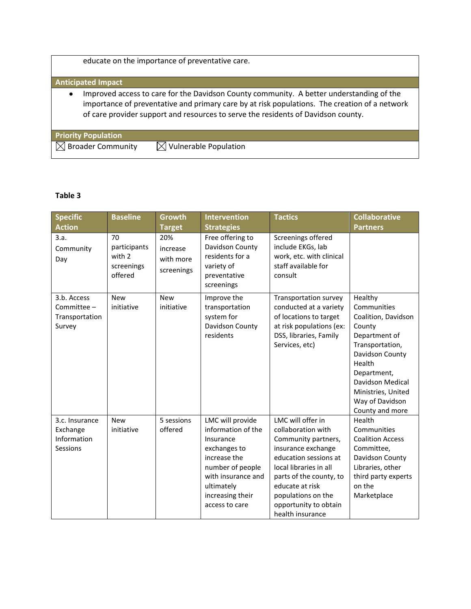educate on the importance of preventative care.

### **Anticipated Impact**

Improved access to care for the Davidson County community. A better understanding of the  $\bullet$ importance of preventative and primary care by at risk populations. The creation of a network of care provider support and resources to serve the residents of Davidson county.

| <b>Priority Population</b>             |                                 |  |
|----------------------------------------|---------------------------------|--|
| $\sqrt{\phantom{a}}$ Broader Community | $\bowtie$ Vulnerable Population |  |

# **Table 3**

| <b>Specific</b>                                        | <b>Baseline</b>                                       | <b>Growth</b>                              | <b>Intervention</b>                                                                                                                                                               | <b>Tactics</b>                                                                                                                                                                                                                                           | <b>Collaborative</b>                                                                                                                                                                                                    |
|--------------------------------------------------------|-------------------------------------------------------|--------------------------------------------|-----------------------------------------------------------------------------------------------------------------------------------------------------------------------------------|----------------------------------------------------------------------------------------------------------------------------------------------------------------------------------------------------------------------------------------------------------|-------------------------------------------------------------------------------------------------------------------------------------------------------------------------------------------------------------------------|
| <b>Action</b>                                          |                                                       | <b>Target</b>                              | <b>Strategies</b>                                                                                                                                                                 |                                                                                                                                                                                                                                                          | <b>Partners</b>                                                                                                                                                                                                         |
| 3.a.<br>Community<br>Day                               | 70<br>participants<br>with 2<br>screenings<br>offered | 20%<br>increase<br>with more<br>screenings | Free offering to<br>Davidson County<br>residents for a<br>variety of<br>preventative<br>screenings                                                                                | Screenings offered<br>include EKGs, lab<br>work, etc. with clinical<br>staff available for<br>consult                                                                                                                                                    |                                                                                                                                                                                                                         |
| 3.b. Access<br>Committee -<br>Transportation<br>Survey | <b>New</b><br>initiative                              | <b>New</b><br>initiative                   | Improve the<br>transportation<br>system for<br>Davidson County<br>residents                                                                                                       | Transportation survey<br>conducted at a variety<br>of locations to target<br>at risk populations (ex:<br>DSS, libraries, Family<br>Services, etc)                                                                                                        | Healthy<br>Communities<br>Coalition, Davidson<br>County<br>Department of<br>Transportation,<br>Davidson County<br>Health<br>Department,<br>Davidson Medical<br>Ministries, United<br>Way of Davidson<br>County and more |
| 3.c. Insurance<br>Exchange<br>Information<br>Sessions  | <b>New</b><br>initiative                              | 5 sessions<br>offered                      | LMC will provide<br>information of the<br>Insurance<br>exchanges to<br>increase the<br>number of people<br>with insurance and<br>ultimately<br>increasing their<br>access to care | LMC will offer in<br>collaboration with<br>Community partners,<br>insurance exchange<br>education sessions at<br>local libraries in all<br>parts of the county, to<br>educate at risk<br>populations on the<br>opportunity to obtain<br>health insurance | Health<br>Communities<br><b>Coalition Access</b><br>Committee,<br>Davidson County<br>Libraries, other<br>third party experts<br>on the<br>Marketplace                                                                   |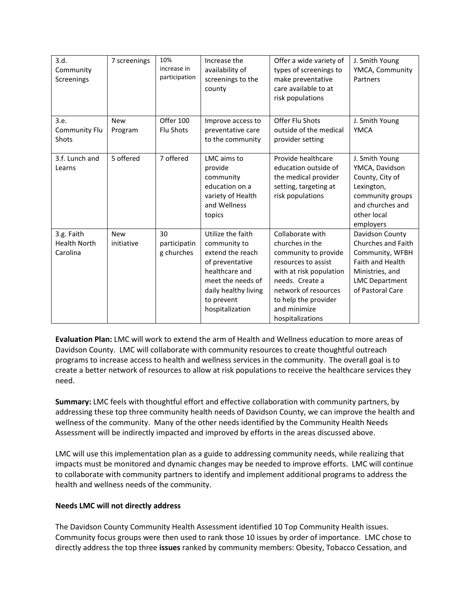| 3.d.<br>Community<br>Screenings               | 7 screenings             | 10%<br>increase in<br>participation | Increase the<br>availability of<br>screenings to the<br>county                                                                                                           | Offer a wide variety of<br>types of screenings to<br>make preventative<br>care available to at<br>risk populations                                                                                                   | J. Smith Young<br>YMCA, Community<br>Partners                                                                                                       |
|-----------------------------------------------|--------------------------|-------------------------------------|--------------------------------------------------------------------------------------------------------------------------------------------------------------------------|----------------------------------------------------------------------------------------------------------------------------------------------------------------------------------------------------------------------|-----------------------------------------------------------------------------------------------------------------------------------------------------|
| 3.e.<br><b>Community Flu</b><br><b>Shots</b>  | <b>New</b><br>Program    | Offer 100<br>Flu Shots              | Improve access to<br>preventative care<br>to the community                                                                                                               | Offer Flu Shots<br>outside of the medical<br>provider setting                                                                                                                                                        | J. Smith Young<br><b>YMCA</b>                                                                                                                       |
| 3.f. Lunch and<br>Learns                      | 5 offered                | 7 offered                           | LMC aims to<br>provide<br>community<br>education on a<br>variety of Health<br>and Wellness<br>topics                                                                     | Provide healthcare<br>education outside of<br>the medical provider<br>setting, targeting at<br>risk populations                                                                                                      | J. Smith Young<br>YMCA, Davidson<br>County, City of<br>Lexington,<br>community groups<br>and churches and<br>other local<br>employers               |
| 3.g. Faith<br><b>Health North</b><br>Carolina | <b>New</b><br>initiative | 30<br>participatin<br>g churches    | Utilize the faith<br>community to<br>extend the reach<br>of preventative<br>healthcare and<br>meet the needs of<br>daily healthy living<br>to prevent<br>hospitalization | Collaborate with<br>churches in the<br>community to provide<br>resources to assist<br>with at risk population<br>needs. Create a<br>network of resources<br>to help the provider<br>and minimize<br>hospitalizations | Davidson County<br>Churches and Faith<br>Community, WFBH<br><b>Faith and Health</b><br>Ministries, and<br><b>LMC</b> Department<br>of Pastoral Care |

**Evaluation Plan:** LMC will work to extend the arm of Health and Wellness education to more areas of Davidson County. LMC will collaborate with community resources to create thoughtful outreach programs to increase access to health and wellness services in the community. The overall goal is to create a better network of resources to allow at risk populations to receive the healthcare services they need.

**Summary:** LMC feels with thoughtful effort and effective collaboration with community partners, by addressing these top three community health needs of Davidson County, we can improve the health and wellness of the community. Many of the other needs identified by the Community Health Needs Assessment will be indirectly impacted and improved by efforts in the areas discussed above.

LMC will use this implementation plan as a guide to addressing community needs, while realizing that impacts must be monitored and dynamic changes may be needed to improve efforts. LMC will continue to collaborate with community partners to identify and implement additional programs to address the health and wellness needs of the community.

# **Needs LMC will not directly address**

The Davidson County Community Health Assessment identified 10 Top Community Health issues. Community focus groups were then used to rank those 10 issues by order of importance. LMC chose to directly address the top three **issues** ranked by community members: Obesity, Tobacco Cessation, and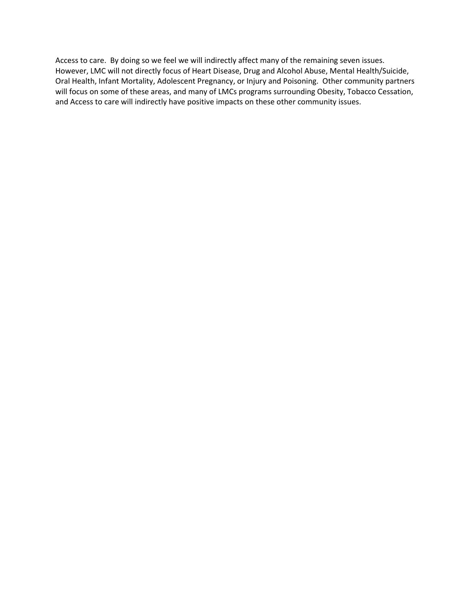Access to care. By doing so we feel we will indirectly affect many of the remaining seven issues. However, LMC will not directly focus of Heart Disease, Drug and Alcohol Abuse, Mental Health/Suicide, Oral Health, Infant Mortality, Adolescent Pregnancy, or Injury and Poisoning. Other community partners will focus on some of these areas, and many of LMCs programs surrounding Obesity, Tobacco Cessation, and Access to care will indirectly have positive impacts on these other community issues.